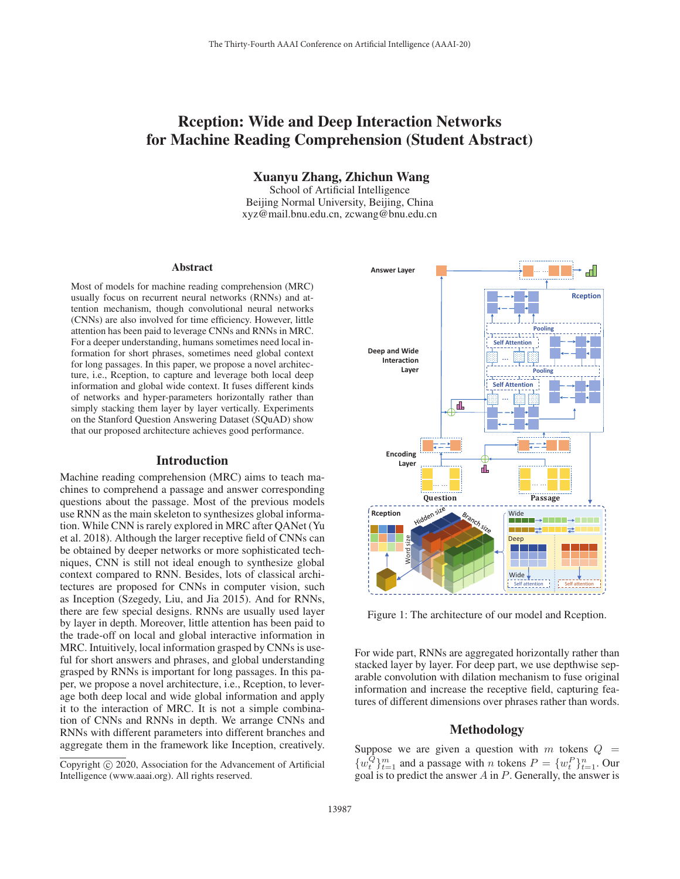# Rception: Wide and Deep Interaction Networks for Machine Reading Comprehension (Student Abstract)

Xuanyu Zhang, Zhichun Wang

School of Artificial Intelligence Beijing Normal University, Beijing, China xyz@mail.bnu.edu.cn, zcwang@bnu.edu.cn

#### Abstract

Most of models for machine reading comprehension (MRC) usually focus on recurrent neural networks (RNNs) and attention mechanism, though convolutional neural networks (CNNs) are also involved for time efficiency. However, little attention has been paid to leverage CNNs and RNNs in MRC. For a deeper understanding, humans sometimes need local information for short phrases, sometimes need global context for long passages. In this paper, we propose a novel architecture, i.e., Rception, to capture and leverage both local deep information and global wide context. It fuses different kinds of networks and hyper-parameters horizontally rather than simply stacking them layer by layer vertically. Experiments on the Stanford Question Answering Dataset (SQuAD) show that our proposed architecture achieves good performance.

## Introduction

Machine reading comprehension (MRC) aims to teach machines to comprehend a passage and answer corresponding questions about the passage. Most of the previous models use RNN as the main skeleton to synthesizes global information. While CNN is rarely explored in MRC after QANet (Yu et al. 2018). Although the larger receptive field of CNNs can be obtained by deeper networks or more sophisticated techniques, CNN is still not ideal enough to synthesize global context compared to RNN. Besides, lots of classical architectures are proposed for CNNs in computer vision, such as Inception (Szegedy, Liu, and Jia 2015). And for RNNs, there are few special designs. RNNs are usually used layer by layer in depth. Moreover, little attention has been paid to the trade-off on local and global interactive information in MRC. Intuitively, local information grasped by CNNs is useful for short answers and phrases, and global understanding grasped by RNNs is important for long passages. In this paper, we propose a novel architecture, i.e., Rception, to leverage both deep local and wide global information and apply it to the interaction of MRC. It is not a simple combination of CNNs and RNNs in depth. We arrange CNNs and RNNs with different parameters into different branches and aggregate them in the framework like Inception, creatively.



Figure 1: The architecture of our model and Rception.

For wide part, RNNs are aggregated horizontally rather than stacked layer by layer. For deep part, we use depthwise separable convolution with dilation mechanism to fuse original information and increase the receptive field, capturing features of different dimensions over phrases rather than words.

## Methodology

Suppose we are given a question with  $m$  tokens  $Q =$  $\{w_t^Q\}_{t=1}^m$  and a passage with n tokens  $P = \{w_t^P\}_{t=1}^n$ . Our goal is to predict the answer  $A$  in  $P$ . Generally, the answer is

Copyright  $\odot$  2020, Association for the Advancement of Artificial Intelligence (www.aaai.org). All rights reserved.